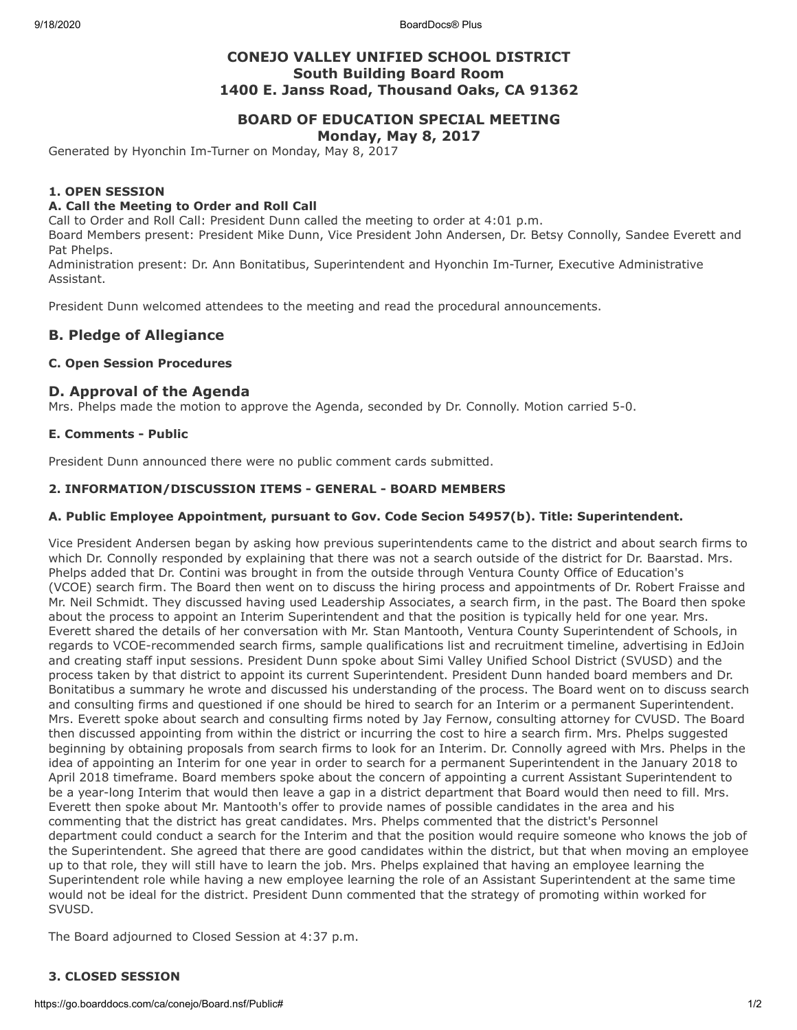9/18/2020 BoardDocs® Plus

# **CONEJO VALLEY UNIFIED SCHOOL DISTRICT South Building Board Room 1400 E. Janss Road, Thousand Oaks, CA 91362**

## **BOARD OF EDUCATION SPECIAL MEETING Monday, May 8, 2017**

Generated by Hyonchin Im-Turner on Monday, May 8, 2017

#### **1. OPEN SESSION**

#### **A. Call the Meeting to Order and Roll Call**

Call to Order and Roll Call: President Dunn called the meeting to order at 4:01 p.m.

Board Members present: President Mike Dunn, Vice President John Andersen, Dr. Betsy Connolly, Sandee Everett and Pat Phelps.

Administration present: Dr. Ann Bonitatibus, Superintendent and Hyonchin Im-Turner, Executive Administrative Assistant.

President Dunn welcomed attendees to the meeting and read the procedural announcements.

## **B. Pledge of Allegiance**

#### **C. Open Session Procedures**

### **D. Approval of the Agenda**

Mrs. Phelps made the motion to approve the Agenda, seconded by Dr. Connolly. Motion carried 5-0.

#### **E. Comments - Public**

President Dunn announced there were no public comment cards submitted.

#### **2. INFORMATION/DISCUSSION ITEMS - GENERAL - BOARD MEMBERS**

#### **A. Public Employee Appointment, pursuant to Gov. Code Secion 54957(b). Title: Superintendent.**

Vice President Andersen began by asking how previous superintendents came to the district and about search firms to which Dr. Connolly responded by explaining that there was not a search outside of the district for Dr. Baarstad. Mrs. Phelps added that Dr. Contini was brought in from the outside through Ventura County Office of Education's (VCOE) search firm. The Board then went on to discuss the hiring process and appointments of Dr. Robert Fraisse and Mr. Neil Schmidt. They discussed having used Leadership Associates, a search firm, in the past. The Board then spoke about the process to appoint an Interim Superintendent and that the position is typically held for one year. Mrs. Everett shared the details of her conversation with Mr. Stan Mantooth, Ventura County Superintendent of Schools, in regards to VCOE-recommended search firms, sample qualifications list and recruitment timeline, advertising in EdJoin and creating staff input sessions. President Dunn spoke about Simi Valley Unified School District (SVUSD) and the process taken by that district to appoint its current Superintendent. President Dunn handed board members and Dr. Bonitatibus a summary he wrote and discussed his understanding of the process. The Board went on to discuss search and consulting firms and questioned if one should be hired to search for an Interim or a permanent Superintendent. Mrs. Everett spoke about search and consulting firms noted by Jay Fernow, consulting attorney for CVUSD. The Board then discussed appointing from within the district or incurring the cost to hire a search firm. Mrs. Phelps suggested beginning by obtaining proposals from search firms to look for an Interim. Dr. Connolly agreed with Mrs. Phelps in the idea of appointing an Interim for one year in order to search for a permanent Superintendent in the January 2018 to April 2018 timeframe. Board members spoke about the concern of appointing a current Assistant Superintendent to be a year-long Interim that would then leave a gap in a district department that Board would then need to fill. Mrs. Everett then spoke about Mr. Mantooth's offer to provide names of possible candidates in the area and his commenting that the district has great candidates. Mrs. Phelps commented that the district's Personnel department could conduct a search for the Interim and that the position would require someone who knows the job of the Superintendent. She agreed that there are good candidates within the district, but that when moving an employee up to that role, they will still have to learn the job. Mrs. Phelps explained that having an employee learning the Superintendent role while having a new employee learning the role of an Assistant Superintendent at the same time would not be ideal for the district. President Dunn commented that the strategy of promoting within worked for SVUSD.

The Board adjourned to Closed Session at 4:37 p.m.

#### **3. CLOSED SESSION**